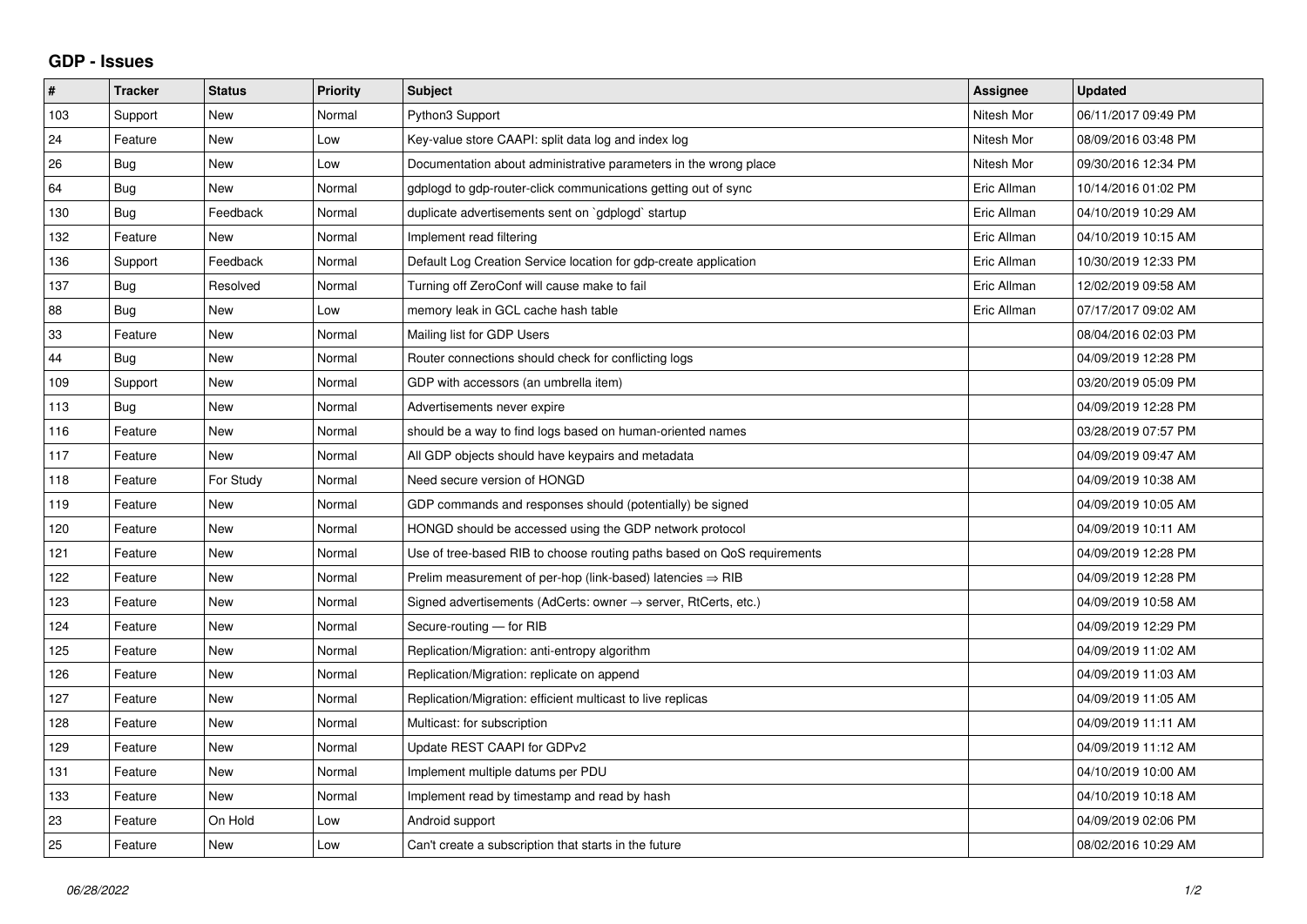## **GDP - Issues**

| $\pmb{\#}$ | <b>Tracker</b> | <b>Status</b> | <b>Priority</b> | <b>Subject</b>                                                          | Assignee    | <b>Updated</b>      |
|------------|----------------|---------------|-----------------|-------------------------------------------------------------------------|-------------|---------------------|
| 103        | Support        | <b>New</b>    | Normal          | Python3 Support                                                         | Nitesh Mor  | 06/11/2017 09:49 PM |
| 24         | Feature        | <b>New</b>    | Low             | Key-value store CAAPI: split data log and index log                     | Nitesh Mor  | 08/09/2016 03:48 PM |
| 26         | Bug            | New           | Low             | Documentation about administrative parameters in the wrong place        | Nitesh Mor  | 09/30/2016 12:34 PM |
| 64         | Bug            | New           | Normal          | gdplogd to gdp-router-click communications getting out of sync          | Eric Allman | 10/14/2016 01:02 PM |
| 130        | Bug            | Feedback      | Normal          | duplicate advertisements sent on `gdplogd` startup                      | Eric Allman | 04/10/2019 10:29 AM |
| 132        | Feature        | New           | Normal          | Implement read filtering                                                | Eric Allman | 04/10/2019 10:15 AM |
| 136        | Support        | Feedback      | Normal          | Default Log Creation Service location for gdp-create application        | Eric Allman | 10/30/2019 12:33 PM |
| 137        | <b>Bug</b>     | Resolved      | Normal          | Turning off ZeroConf will cause make to fail                            | Eric Allman | 12/02/2019 09:58 AM |
| 88         | <b>Bug</b>     | New           | Low             | memory leak in GCL cache hash table                                     | Eric Allman | 07/17/2017 09:02 AM |
| 33         | Feature        | <b>New</b>    | Normal          | Mailing list for GDP Users                                              |             | 08/04/2016 02:03 PM |
| 44         | Bug            | <b>New</b>    | Normal          | Router connections should check for conflicting logs                    |             | 04/09/2019 12:28 PM |
| 109        | Support        | New           | Normal          | GDP with accessors (an umbrella item)                                   |             | 03/20/2019 05:09 PM |
| 113        | Bug            | <b>New</b>    | Normal          | Advertisements never expire                                             |             | 04/09/2019 12:28 PM |
| 116        | Feature        | <b>New</b>    | Normal          | should be a way to find logs based on human-oriented names              |             | 03/28/2019 07:57 PM |
| 117        | Feature        | New           | Normal          | All GDP objects should have keypairs and metadata                       |             | 04/09/2019 09:47 AM |
| 118        | Feature        | For Study     | Normal          | Need secure version of HONGD                                            |             | 04/09/2019 10:38 AM |
| 119        | Feature        | <b>New</b>    | Normal          | GDP commands and responses should (potentially) be signed               |             | 04/09/2019 10:05 AM |
| 120        | Feature        | New           | Normal          | HONGD should be accessed using the GDP network protocol                 |             | 04/09/2019 10:11 AM |
| 121        | Feature        | <b>New</b>    | Normal          | Use of tree-based RIB to choose routing paths based on QoS requirements |             | 04/09/2019 12:28 PM |
| 122        | Feature        | <b>New</b>    | Normal          | Prelim measurement of per-hop (link-based) latencies $\Rightarrow$ RIB  |             | 04/09/2019 12:28 PM |
| 123        | Feature        | <b>New</b>    | Normal          | Signed advertisements (AdCerts: owner → server, RtCerts, etc.)          |             | 04/09/2019 10:58 AM |
| 124        | Feature        | <b>New</b>    | Normal          | Secure-routing - for RIB                                                |             | 04/09/2019 12:29 PM |
| 125        | Feature        | <b>New</b>    | Normal          | Replication/Migration: anti-entropy algorithm                           |             | 04/09/2019 11:02 AM |
| 126        | Feature        | <b>New</b>    | Normal          | Replication/Migration: replicate on append                              |             | 04/09/2019 11:03 AM |
| 127        | Feature        | New           | Normal          | Replication/Migration: efficient multicast to live replicas             |             | 04/09/2019 11:05 AM |
| 128        | Feature        | New           | Normal          | Multicast: for subscription                                             |             | 04/09/2019 11:11 AM |
| 129        | Feature        | <b>New</b>    | Normal          | Update REST CAAPI for GDPv2                                             |             | 04/09/2019 11:12 AM |
| 131        | Feature        | New           | Normal          | Implement multiple datums per PDU                                       |             | 04/10/2019 10:00 AM |
| 133        | Feature        | New           | Normal          | Implement read by timestamp and read by hash                            |             | 04/10/2019 10:18 AM |
| 23         | Feature        | On Hold       | Low             | Android support                                                         |             | 04/09/2019 02:06 PM |
| 25         | Feature        | <b>New</b>    | Low             | Can't create a subscription that starts in the future                   |             | 08/02/2016 10:29 AM |